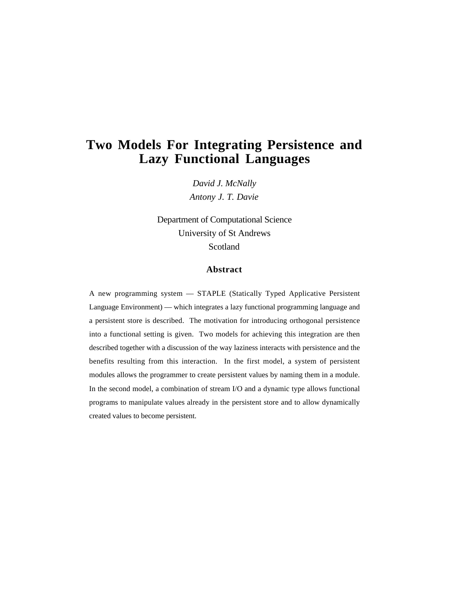# **Two Models For Integrating Persistence and Lazy Functional Languages**

*David J. McNally Antony J. T. Davie*

Department of Computational Science University of St Andrews Scotland

#### **Abstract**

A new programming system — STAPLE (Statically Typed Applicative Persistent Language Environment) — which integrates a lazy functional programming language and a persistent store is described. The motivation for introducing orthogonal persistence into a functional setting is given. Two models for achieving this integration are then described together with a discussion of the way laziness interacts with persistence and the benefits resulting from this interaction. In the first model, a system of persistent modules allows the programmer to create persistent values by naming them in a module. In the second model, a combination of stream I/O and a dynamic type allows functional programs to manipulate values already in the persistent store and to allow dynamically created values to become persistent.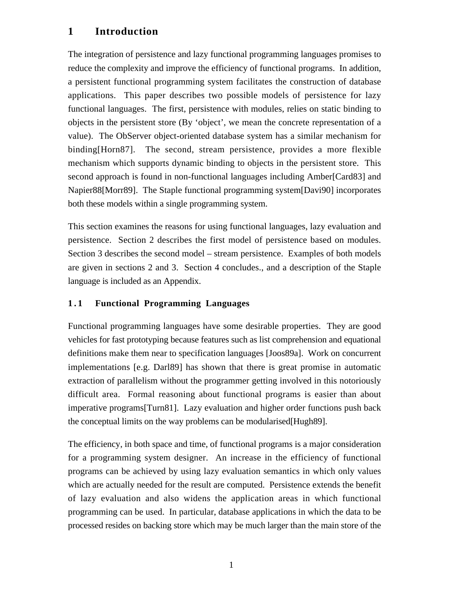# **1 Introduction**

The integration of persistence and lazy functional programming languages promises to reduce the complexity and improve the efficiency of functional programs. In addition, a persistent functional programming system facilitates the construction of database applications. This paper describes two possible models of persistence for lazy functional languages. The first, persistence with modules, relies on static binding to objects in the persistent store (By 'object', we mean the concrete representation of a value). The ObServer object-oriented database system has a similar mechanism for binding[Horn87]. The second, stream persistence, provides a more flexible mechanism which supports dynamic binding to objects in the persistent store. This second approach is found in non-functional languages including Amber[Card83] and Napier88[Morr89]. The Staple functional programming system[Davi90] incorporates both these models within a single programming system.

This section examines the reasons for using functional languages, lazy evaluation and persistence. Section 2 describes the first model of persistence based on modules. Section 3 describes the second model – stream persistence. Examples of both models are given in sections 2 and 3. Section 4 concludes., and a description of the Staple language is included as an Appendix.

# **1.1 Functional Programming Languages**

Functional programming languages have some desirable properties. They are good vehicles for fast prototyping because features such as list comprehension and equational definitions make them near to specification languages [Joos89a]. Work on concurrent implementations [e.g. Darl89] has shown that there is great promise in automatic extraction of parallelism without the programmer getting involved in this notoriously difficult area. Formal reasoning about functional programs is easier than about imperative programs[Turn81]. Lazy evaluation and higher order functions push back the conceptual limits on the way problems can be modularised[Hugh89].

The efficiency, in both space and time, of functional programs is a major consideration for a programming system designer. An increase in the efficiency of functional programs can be achieved by using lazy evaluation semantics in which only values which are actually needed for the result are computed. Persistence extends the benefit of lazy evaluation and also widens the application areas in which functional programming can be used. In particular, database applications in which the data to be processed resides on backing store which may be much larger than the main store of the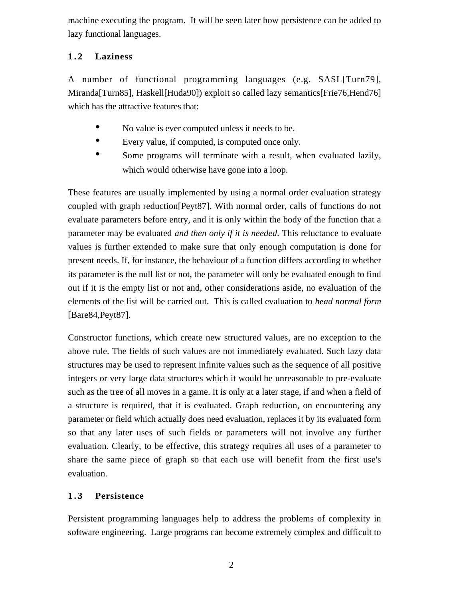machine executing the program. It will be seen later how persistence can be added to lazy functional languages.

# **1.2 Laziness**

A number of functional programming languages (e.g. SASL[Turn79], Miranda[Turn85], Haskell[Huda90]) exploit so called lazy semantics[Frie76,Hend76] which has the attractive features that:

- No value is ever computed unless it needs to be.
- Every value, if computed, is computed once only.
- Some programs will terminate with a result, when evaluated lazily, which would otherwise have gone into a loop.

These features are usually implemented by using a normal order evaluation strategy coupled with graph reduction[Peyt87]. With normal order, calls of functions do not evaluate parameters before entry, and it is only within the body of the function that a parameter may be evaluated *and then only if it is needed*. This reluctance to evaluate values is further extended to make sure that only enough computation is done for present needs. If, for instance, the behaviour of a function differs according to whether its parameter is the null list or not, the parameter will only be evaluated enough to find out if it is the empty list or not and, other considerations aside, no evaluation of the elements of the list will be carried out. This is called evaluation to *head normal form* [Bare84,Peyt87].

Constructor functions, which create new structured values, are no exception to the above rule. The fields of such values are not immediately evaluated. Such lazy data structures may be used to represent infinite values such as the sequence of all positive integers or very large data structures which it would be unreasonable to pre-evaluate such as the tree of all moves in a game. It is only at a later stage, if and when a field of a structure is required, that it is evaluated. Graph reduction, on encountering any parameter or field which actually does need evaluation, replaces it by its evaluated form so that any later uses of such fields or parameters will not involve any further evaluation. Clearly, to be effective, this strategy requires all uses of a parameter to share the same piece of graph so that each use will benefit from the first use's evaluation.

# **1.3 Persistence**

Persistent programming languages help to address the problems of complexity in software engineering. Large programs can become extremely complex and difficult to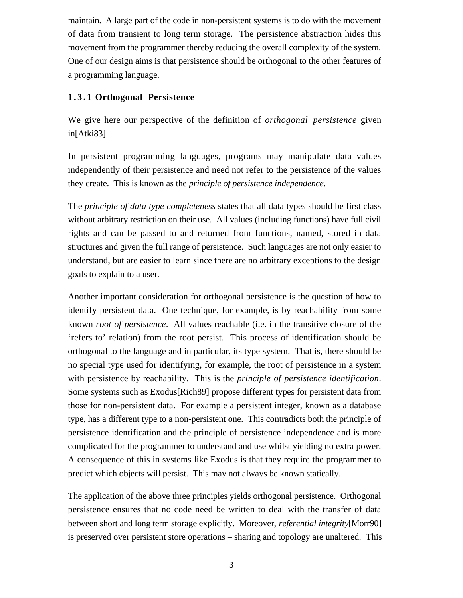maintain. A large part of the code in non-persistent systems is to do with the movement of data from transient to long term storage. The persistence abstraction hides this movement from the programmer thereby reducing the overall complexity of the system. One of our design aims is that persistence should be orthogonal to the other features of a programming language.

## **1.3.1 Orthogonal Persistence**

We give here our perspective of the definition of *orthogonal persistence* given in[Atki83].

In persistent programming languages, programs may manipulate data values independently of their persistence and need not refer to the persistence of the values they create. This is known as the *principle of persistence independence.*

The *principle of data type completeness* states that all data types should be first class without arbitrary restriction on their use. All values (including functions) have full civil rights and can be passed to and returned from functions, named, stored in data structures and given the full range of persistence. Such languages are not only easier to understand, but are easier to learn since there are no arbitrary exceptions to the design goals to explain to a user.

Another important consideration for orthogonal persistence is the question of how to identify persistent data. One technique, for example, is by reachability from some known *root of persistence*. All values reachable (i.e. in the transitive closure of the 'refers to' relation) from the root persist. This process of identification should be orthogonal to the language and in particular, its type system. That is, there should be no special type used for identifying, for example, the root of persistence in a system with persistence by reachability. This is the *principle of persistence identification*. Some systems such as Exodus[Rich89] propose different types for persistent data from those for non-persistent data. For example a persistent integer, known as a database type, has a different type to a non-persistent one. This contradicts both the principle of persistence identification and the principle of persistence independence and is more complicated for the programmer to understand and use whilst yielding no extra power. A consequence of this in systems like Exodus is that they require the programmer to predict which objects will persist. This may not always be known statically.

The application of the above three principles yields orthogonal persistence. Orthogonal persistence ensures that no code need be written to deal with the transfer of data between short and long term storage explicitly. Moreover, *referential integrity*[Morr90] is preserved over persistent store operations – sharing and topology are unaltered. This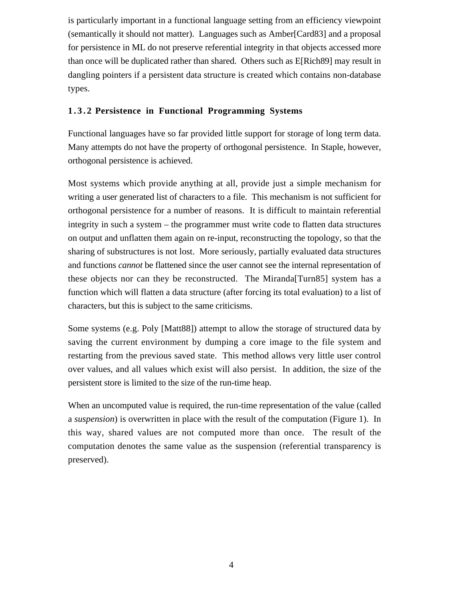is particularly important in a functional language setting from an efficiency viewpoint (semantically it should not matter). Languages such as Amber[Card83] and a proposal for persistence in ML do not preserve referential integrity in that objects accessed more than once will be duplicated rather than shared. Others such as E[Rich89] may result in dangling pointers if a persistent data structure is created which contains non-database types.

## **1.3.2 Persistence in Functional Programming Systems**

Functional languages have so far provided little support for storage of long term data. Many attempts do not have the property of orthogonal persistence. In Staple, however, orthogonal persistence is achieved.

Most systems which provide anything at all, provide just a simple mechanism for writing a user generated list of characters to a file. This mechanism is not sufficient for orthogonal persistence for a number of reasons. It is difficult to maintain referential integrity in such a system – the programmer must write code to flatten data structures on output and unflatten them again on re-input, reconstructing the topology, so that the sharing of substructures is not lost. More seriously, partially evaluated data structures and functions *cannot* be flattened since the user cannot see the internal representation of these objects nor can they be reconstructed. The Miranda[Turn85] system has a function which will flatten a data structure (after forcing its total evaluation) to a list of characters, but this is subject to the same criticisms.

Some systems (e.g. Poly [Matt88]) attempt to allow the storage of structured data by saving the current environment by dumping a core image to the file system and restarting from the previous saved state. This method allows very little user control over values, and all values which exist will also persist. In addition, the size of the persistent store is limited to the size of the run-time heap.

When an uncomputed value is required, the run-time representation of the value (called a *suspension*) is overwritten in place with the result of the computation (Figure 1). In this way, shared values are not computed more than once. The result of the computation denotes the same value as the suspension (referential transparency is preserved).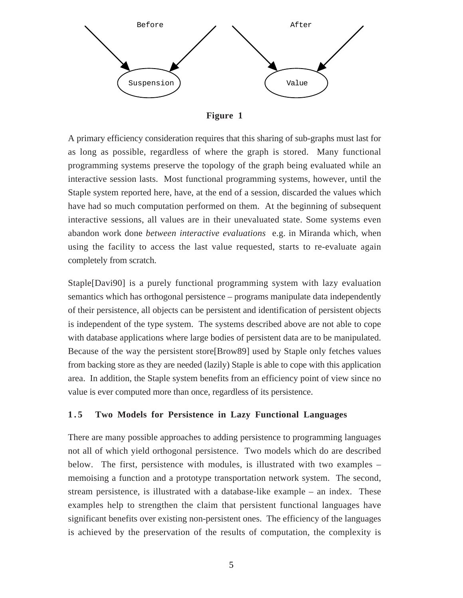



A primary efficiency consideration requires that this sharing of sub-graphs must last for as long as possible, regardless of where the graph is stored. Many functional programming systems preserve the topology of the graph being evaluated while an interactive session lasts. Most functional programming systems, however, until the Staple system reported here, have, at the end of a session, discarded the values which have had so much computation performed on them. At the beginning of subsequent interactive sessions, all values are in their unevaluated state. Some systems even abandon work done *between interactive evaluations* e.g. in Miranda which, when using the facility to access the last value requested, starts to re-evaluate again completely from scratch.

Staple[Davi90] is a purely functional programming system with lazy evaluation semantics which has orthogonal persistence – programs manipulate data independently of their persistence, all objects can be persistent and identification of persistent objects is independent of the type system. The systems described above are not able to cope with database applications where large bodies of persistent data are to be manipulated. Because of the way the persistent store[Brow89] used by Staple only fetches values from backing store as they are needed (lazily) Staple is able to cope with this application area. In addition, the Staple system benefits from an efficiency point of view since no value is ever computed more than once, regardless of its persistence.

### **1.5 Two Models for Persistence in Lazy Functional Languages**

There are many possible approaches to adding persistence to programming languages not all of which yield orthogonal persistence. Two models which do are described below. The first, persistence with modules, is illustrated with two examples – memoising a function and a prototype transportation network system. The second, stream persistence, is illustrated with a database-like example – an index. These examples help to strengthen the claim that persistent functional languages have significant benefits over existing non-persistent ones. The efficiency of the languages is achieved by the preservation of the results of computation, the complexity is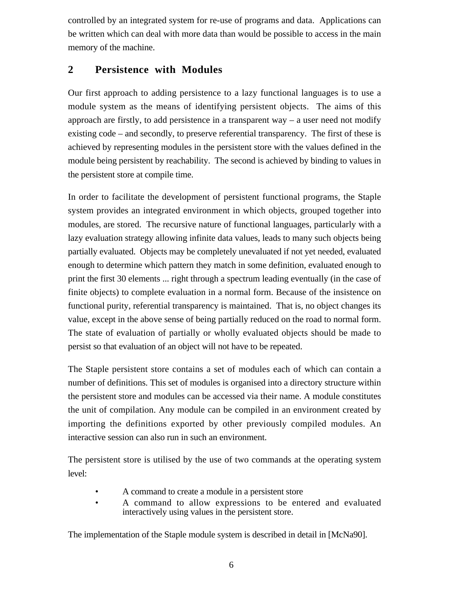controlled by an integrated system for re-use of programs and data. Applications can be written which can deal with more data than would be possible to access in the main memory of the machine.

# **2 Persistence with Modules**

Our first approach to adding persistence to a lazy functional languages is to use a module system as the means of identifying persistent objects. The aims of this approach are firstly, to add persistence in a transparent way  $-$  a user need not modify existing code – and secondly, to preserve referential transparency. The first of these is achieved by representing modules in the persistent store with the values defined in the module being persistent by reachability. The second is achieved by binding to values in the persistent store at compile time.

In order to facilitate the development of persistent functional programs, the Staple system provides an integrated environment in which objects, grouped together into modules, are stored. The recursive nature of functional languages, particularly with a lazy evaluation strategy allowing infinite data values, leads to many such objects being partially evaluated. Objects may be completely unevaluated if not yet needed, evaluated enough to determine which pattern they match in some definition, evaluated enough to print the first 30 elements ... right through a spectrum leading eventually (in the case of finite objects) to complete evaluation in a normal form. Because of the insistence on functional purity, referential transparency is maintained. That is, no object changes its value, except in the above sense of being partially reduced on the road to normal form. The state of evaluation of partially or wholly evaluated objects should be made to persist so that evaluation of an object will not have to be repeated.

The Staple persistent store contains a set of modules each of which can contain a number of definitions. This set of modules is organised into a directory structure within the persistent store and modules can be accessed via their name. A module constitutes the unit of compilation. Any module can be compiled in an environment created by importing the definitions exported by other previously compiled modules. An interactive session can also run in such an environment.

The persistent store is utilised by the use of two commands at the operating system level:

- A command to create a module in a persistent store
- A command to allow expressions to be entered and evaluated interactively using values in the persistent store.

The implementation of the Staple module system is described in detail in [McNa90].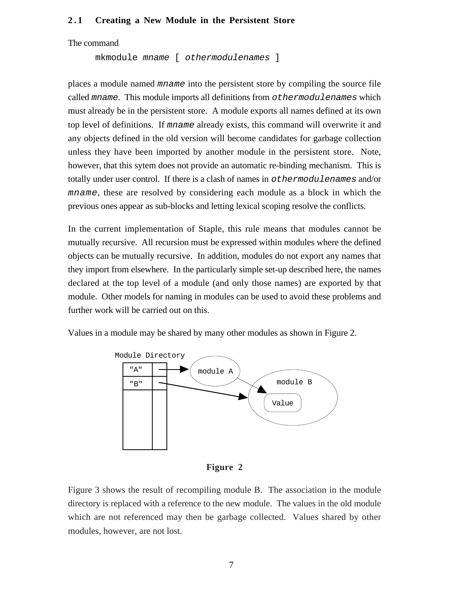#### **2.1 Creating a New Module in the Persistent Store**

The command

mkmodule mname [ othermodulenames ]

places a module named mname into the persistent store by compiling the source file called mname. This module imports all definitions from othermodulenames which must already be in the persistent store. A module exports all names defined at its own top level of definitions. If mname already exists, this command will overwrite it and any objects defined in the old version will become candidates for garbage collection unless they have been imported by another module in the persistent store. Note, however, that this sytem does not provide an automatic re-binding mechanism. This is totally under user control. If there is a clash of names in othermodulenames and/or mname, these are resolved by considering each module as a block in which the previous ones appear as sub-blocks and letting lexical scoping resolve the conflicts.

In the current implementation of Staple, this rule means that modules cannot be mutually recursive. All recursion must be expressed within modules where the defined objects can be mutually recursive. In addition, modules do not export any names that they import from elsewhere. In the particularly simple set-up described here, the names declared at the top level of a module (and only those names) are exported by that module. Other models for naming in modules can be used to avoid these problems and further work will be carried out on this.

Values in a module may be shared by many other modules as shown in Figure 2.



**Figure 2**

Figure 3 shows the result of recompiling module B. The association in the module directory is replaced with a reference to the new module. The values in the old module which are not referenced may then be garbage collected. Values shared by other modules, however, are not lost.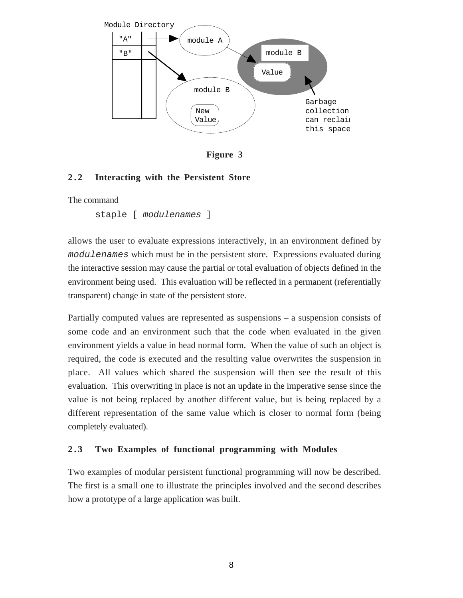

**Figure 3**

### **2.2 Interacting with the Persistent Store**

The command

staple [ modulenames ]

allows the user to evaluate expressions interactively, in an environment defined by modulenames which must be in the persistent store. Expressions evaluated during the interactive session may cause the partial or total evaluation of objects defined in the environment being used. This evaluation will be reflected in a permanent (referentially transparent) change in state of the persistent store.

Partially computed values are represented as suspensions – a suspension consists of some code and an environment such that the code when evaluated in the given environment yields a value in head normal form. When the value of such an object is required, the code is executed and the resulting value overwrites the suspension in place. All values which shared the suspension will then see the result of this evaluation. This overwriting in place is not an update in the imperative sense since the value is not being replaced by another different value, but is being replaced by a different representation of the same value which is closer to normal form (being completely evaluated).

### **2.3 Two Examples of functional programming with Modules**

Two examples of modular persistent functional programming will now be described. The first is a small one to illustrate the principles involved and the second describes how a prototype of a large application was built.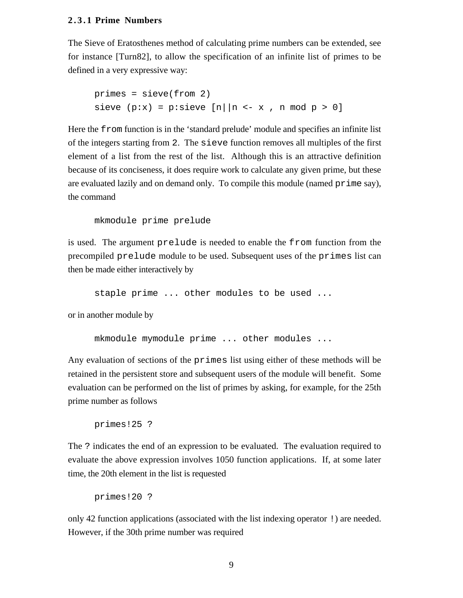#### **2.3.1 Prime Numbers**

The Sieve of Eratosthenes method of calculating prime numbers can be extended, see for instance [Turn82], to allow the specification of an infinite list of primes to be defined in a very expressive way:

```
primes = sieve(from 2)
sieve (p:x) = p:sizeve [n || n \leftarrow x , n mod p > 0]
```
Here the from function is in the 'standard prelude' module and specifies an infinite list of the integers starting from 2. The sieve function removes all multiples of the first element of a list from the rest of the list. Although this is an attractive definition because of its conciseness, it does require work to calculate any given prime, but these are evaluated lazily and on demand only. To compile this module (named prime say), the command

mkmodule prime prelude

is used. The argument prelude is needed to enable the from function from the precompiled prelude module to be used. Subsequent uses of the primes list can then be made either interactively by

staple prime ... other modules to be used ...

or in another module by

```
mkmodule mymodule prime ... other modules ...
```
Any evaluation of sections of the primes list using either of these methods will be retained in the persistent store and subsequent users of the module will benefit. Some evaluation can be performed on the list of primes by asking, for example, for the 25th prime number as follows

primes!25 ?

The ? indicates the end of an expression to be evaluated. The evaluation required to evaluate the above expression involves 1050 function applications. If, at some later time, the 20th element in the list is requested

```
primes!20 ?
```
only 42 function applications (associated with the list indexing operator !) are needed. However, if the 30th prime number was required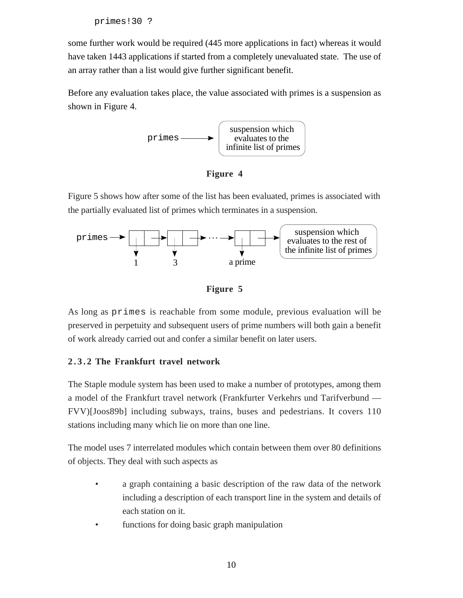primes!30 ?

some further work would be required (445 more applications in fact) whereas it would have taken 1443 applications if started from a completely unevaluated state. The use of an array rather than a list would give further significant benefit.

Before any evaluation takes place, the value associated with primes is a suspension as shown in Figure 4.



**Figure 4**

Figure 5 shows how after some of the list has been evaluated, primes is associated with the partially evaluated list of primes which terminates in a suspension.



**Figure 5**

As long as primes is reachable from some module, previous evaluation will be preserved in perpetuity and subsequent users of prime numbers will both gain a benefit of work already carried out and confer a similar benefit on later users.

# **2.3.2 The Frankfurt travel network**

The Staple module system has been used to make a number of prototypes, among them a model of the Frankfurt travel network (Frankfurter Verkehrs und Tarifverbund — FVV)[Joos89b] including subways, trains, buses and pedestrians. It covers 110 stations including many which lie on more than one line.

The model uses 7 interrelated modules which contain between them over 80 definitions of objects. They deal with such aspects as

- a graph containing a basic description of the raw data of the network including a description of each transport line in the system and details of each station on it.
- functions for doing basic graph manipulation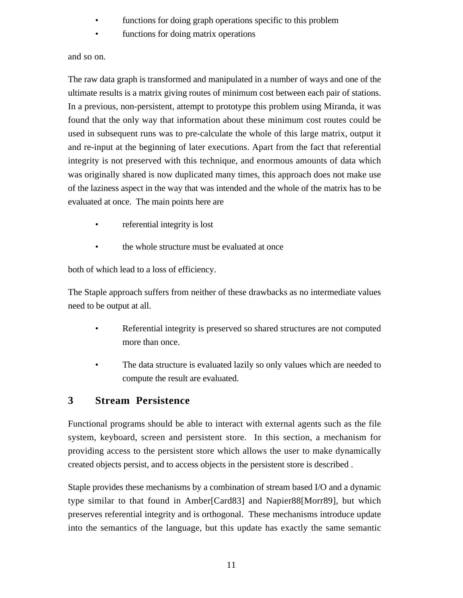- functions for doing graph operations specific to this problem
- functions for doing matrix operations

and so on.

The raw data graph is transformed and manipulated in a number of ways and one of the ultimate results is a matrix giving routes of minimum cost between each pair of stations. In a previous, non-persistent, attempt to prototype this problem using Miranda, it was found that the only way that information about these minimum cost routes could be used in subsequent runs was to pre-calculate the whole of this large matrix, output it and re-input at the beginning of later executions. Apart from the fact that referential integrity is not preserved with this technique, and enormous amounts of data which was originally shared is now duplicated many times, this approach does not make use of the laziness aspect in the way that was intended and the whole of the matrix has to be evaluated at once. The main points here are

- referential integrity is lost
- the whole structure must be evaluated at once

both of which lead to a loss of efficiency.

The Staple approach suffers from neither of these drawbacks as no intermediate values need to be output at all.

- Referential integrity is preserved so shared structures are not computed more than once.
- The data structure is evaluated lazily so only values which are needed to compute the result are evaluated.

# **3 Stream Persistence**

Functional programs should be able to interact with external agents such as the file system, keyboard, screen and persistent store. In this section, a mechanism for providing access to the persistent store which allows the user to make dynamically created objects persist, and to access objects in the persistent store is described .

Staple provides these mechanisms by a combination of stream based I/O and a dynamic type similar to that found in Amber[Card83] and Napier88[Morr89], but which preserves referential integrity and is orthogonal. These mechanisms introduce update into the semantics of the language, but this update has exactly the same semantic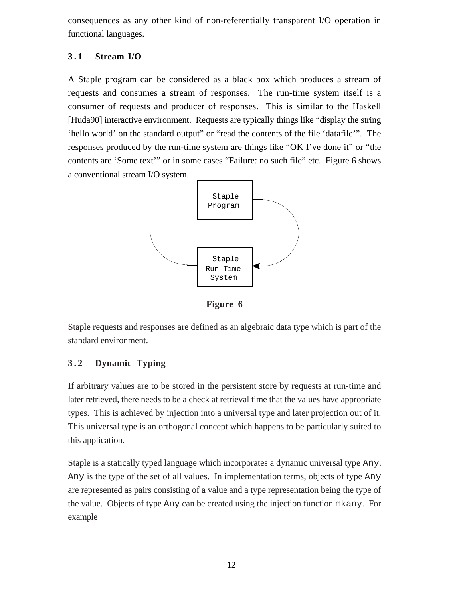consequences as any other kind of non-referentially transparent I/O operation in functional languages.

## **3.1 Stream I/O**

A Staple program can be considered as a black box which produces a stream of requests and consumes a stream of responses. The run-time system itself is a consumer of requests and producer of responses. This is similar to the Haskell [Huda90] interactive environment. Requests are typically things like "display the string 'hello world' on the standard output" or "read the contents of the file 'datafile'". The responses produced by the run-time system are things like "OK I've done it" or "the contents are 'Some text'" or in some cases "Failure: no such file" etc. Figure 6 shows a conventional stream I/O system.



**Figure 6**

Staple requests and responses are defined as an algebraic data type which is part of the standard environment.

# **3.2 Dynamic Typing**

If arbitrary values are to be stored in the persistent store by requests at run-time and later retrieved, there needs to be a check at retrieval time that the values have appropriate types. This is achieved by injection into a universal type and later projection out of it. This universal type is an orthogonal concept which happens to be particularly suited to this application.

Staple is a statically typed language which incorporates a dynamic universal type Any. Any is the type of the set of all values. In implementation terms, objects of type Any are represented as pairs consisting of a value and a type representation being the type of the value. Objects of type Any can be created using the injection function mkany. For example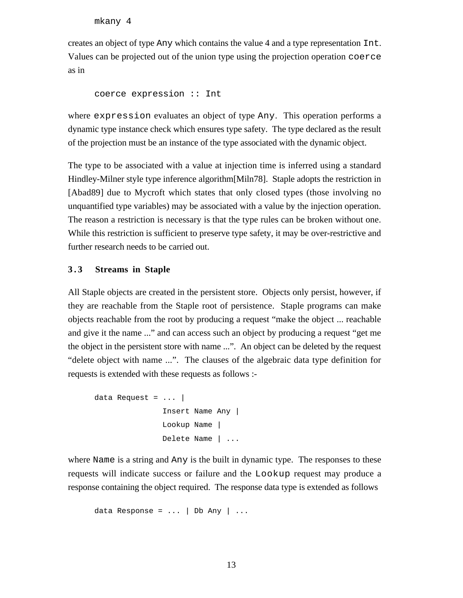creates an object of type Any which contains the value 4 and a type representation Int. Values can be projected out of the union type using the projection operation coerce as in

coerce expression :: Int

where expression evaluates an object of type Any. This operation performs a dynamic type instance check which ensures type safety. The type declared as the result of the projection must be an instance of the type associated with the dynamic object.

The type to be associated with a value at injection time is inferred using a standard Hindley-Milner style type inference algorithm[Miln78]. Staple adopts the restriction in [Abad89] due to Mycroft which states that only closed types (those involving no unquantified type variables) may be associated with a value by the injection operation. The reason a restriction is necessary is that the type rules can be broken without one. While this restriction is sufficient to preserve type safety, it may be over-restrictive and further research needs to be carried out.

#### **3.3 Streams in Staple**

All Staple objects are created in the persistent store. Objects only persist, however, if they are reachable from the Staple root of persistence. Staple programs can make objects reachable from the root by producing a request "make the object ... reachable and give it the name ..." and can access such an object by producing a request "get me the object in the persistent store with name ...". An object can be deleted by the request "delete object with name ...". The clauses of the algebraic data type definition for requests is extended with these requests as follows :-

```
data Request = \ldots |
                 Insert Name Any |
                 Lookup Name |
                 Delete Name | ...
```
where Name is a string and Any is the built in dynamic type. The responses to these requests will indicate success or failure and the Lookup request may produce a response containing the object required. The response data type is extended as follows

```
data Response = \ldots | Db Any | \ldots
```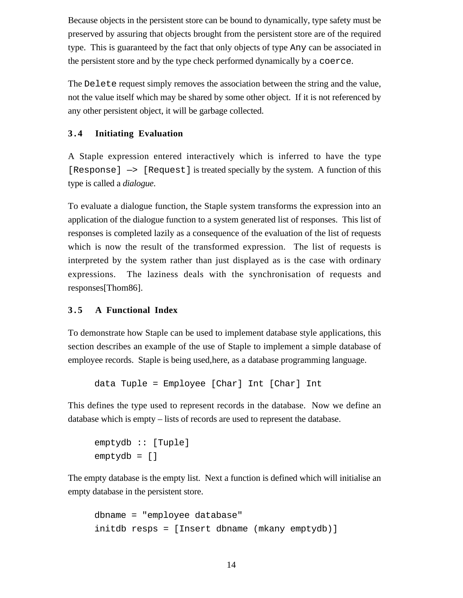Because objects in the persistent store can be bound to dynamically, type safety must be preserved by assuring that objects brought from the persistent store are of the required type. This is guaranteed by the fact that only objects of type Any can be associated in the persistent store and by the type check performed dynamically by a coerce.

The Delete request simply removes the association between the string and the value, not the value itself which may be shared by some other object. If it is not referenced by any other persistent object, it will be garbage collected.

## **3.4 Initiating Evaluation**

A Staple expression entered interactively which is inferred to have the type  $[Response] \rightarrow [Request]$  is treated specially by the system. A function of this type is called a *dialogue*.

To evaluate a dialogue function, the Staple system transforms the expression into an application of the dialogue function to a system generated list of responses. This list of responses is completed lazily as a consequence of the evaluation of the list of requests which is now the result of the transformed expression. The list of requests is interpreted by the system rather than just displayed as is the case with ordinary expressions. The laziness deals with the synchronisation of requests and responses[Thom86].

## **3.5 A Functional Index**

To demonstrate how Staple can be used to implement database style applications, this section describes an example of the use of Staple to implement a simple database of employee records. Staple is being used,here, as a database programming language.

data Tuple = Employee [Char] Int [Char] Int

This defines the type used to represent records in the database. Now we define an database which is empty – lists of records are used to represent the database.

```
emptydb :: [Tuple]
emptydb = []
```
The empty database is the empty list. Next a function is defined which will initialise an empty database in the persistent store.

```
dbname = "employee database"
initdb resps = [Insert dbname (mkany emptydb)]
```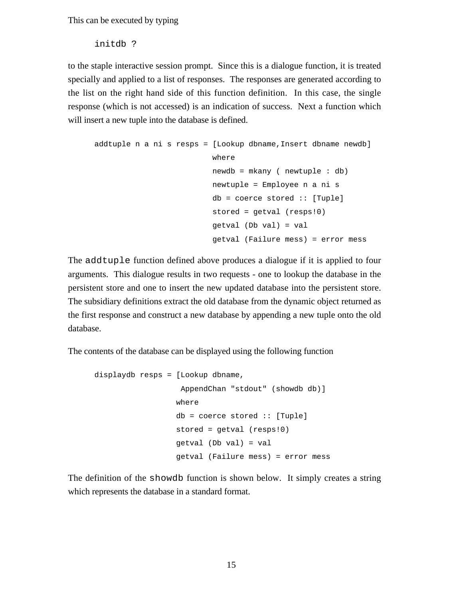This can be executed by typing

initdb ?

to the staple interactive session prompt. Since this is a dialogue function, it is treated specially and applied to a list of responses. The responses are generated according to the list on the right hand side of this function definition. In this case, the single response (which is not accessed) is an indication of success. Next a function which will insert a new tuple into the database is defined.

```
addtuple n a ni s resps = [Lookup dbname,Insert dbname newdb]
                           where
                            newdb = mkany ( newtuple : db)
                           newtuple = Employee n a ni s
                            db = coerce stored :: [Tuple]
                            stored = getval (resps!0)
                            getval (Db val) = val
                            getval (Failure mess) = error mess
```
The addtuple function defined above produces a dialogue if it is applied to four arguments. This dialogue results in two requests - one to lookup the database in the persistent store and one to insert the new updated database into the persistent store. The subsidiary definitions extract the old database from the dynamic object returned as the first response and construct a new database by appending a new tuple onto the old database.

The contents of the database can be displayed using the following function

```
displaydb resps = [Lookup dbname,
                    AppendChan "stdout" (showdb db)]
                   where
                   db = coerce stored :: [Tuple]
                   stored = getval (resps!0)
                   getval (Db val) = val
                   getval (Failure mess) = error mess
```
The definition of the showdb function is shown below. It simply creates a string which represents the database in a standard format.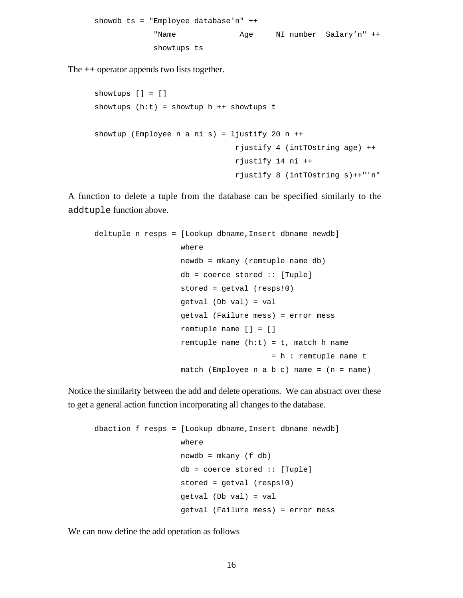```
showdb ts = "Employee database'n" ++
           "Name Mage NI number Salary'n" ++
            showtups ts
```
The ++ operator appends two lists together.

```
showtups [] = []
showtups (h:t) = showtup h ++ showtups t
showtup (Employee n a ni s) = ljustify 20 n ++
                                 rjustify 4 (intTOstring age) ++
                                 rjustify 14 ni ++
                                 rjustify 8 (intTOstring s)++"'n"
```
A function to delete a tuple from the database can be specified similarly to the addtuple function above.

```
deltuple n resps = [Lookup dbname,Insert dbname newdb]
                    where
                    newdb = mkany (remtuple name db)
                    db = coerce stored :: [Tuple]
                    stored = getval (resps!0)
                    getval (Db val) = val
                    getval (Failure mess) = error mess
                    remtuple name [] = []
                   remtuple name (h:t) = t, match h name
                                         = h : remtuple name t
                   match (Employee n a b c) name = (n = name)
```
Notice the similarity between the add and delete operations. We can abstract over these to get a general action function incorporating all changes to the database.

```
dbaction f resps = [Lookup dbname,Insert dbname newdb]
                    where
                   newdb = mkany (f db) db = coerce stored :: [Tuple]
                    stored = getval (resps!0)
                    getval (Db val) = val
                    getval (Failure mess) = error mess
```
We can now define the add operation as follows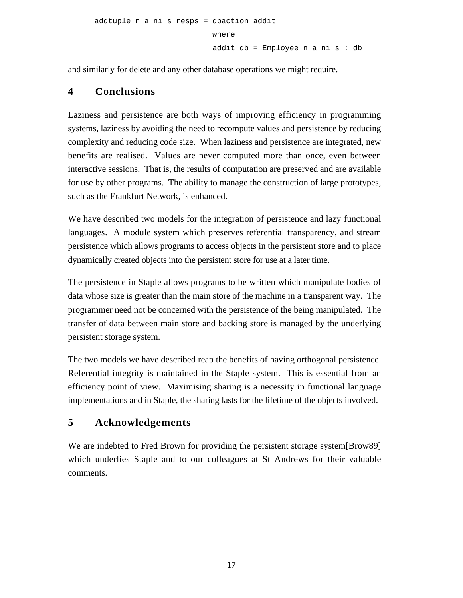```
addtuple n a ni s resps = dbaction addit
                            where
                            addit db = Employee n a ni s : db
```
and similarly for delete and any other database operations we might require.

# **4 Conclusions**

Laziness and persistence are both ways of improving efficiency in programming systems, laziness by avoiding the need to recompute values and persistence by reducing complexity and reducing code size. When laziness and persistence are integrated, new benefits are realised. Values are never computed more than once, even between interactive sessions. That is, the results of computation are preserved and are available for use by other programs. The ability to manage the construction of large prototypes, such as the Frankfurt Network, is enhanced.

We have described two models for the integration of persistence and lazy functional languages. A module system which preserves referential transparency, and stream persistence which allows programs to access objects in the persistent store and to place dynamically created objects into the persistent store for use at a later time.

The persistence in Staple allows programs to be written which manipulate bodies of data whose size is greater than the main store of the machine in a transparent way. The programmer need not be concerned with the persistence of the being manipulated. The transfer of data between main store and backing store is managed by the underlying persistent storage system.

The two models we have described reap the benefits of having orthogonal persistence. Referential integrity is maintained in the Staple system. This is essential from an efficiency point of view. Maximising sharing is a necessity in functional language implementations and in Staple, the sharing lasts for the lifetime of the objects involved.

# **5 Acknowledgements**

We are indebted to Fred Brown for providing the persistent storage system [Brow89] which underlies Staple and to our colleagues at St Andrews for their valuable comments.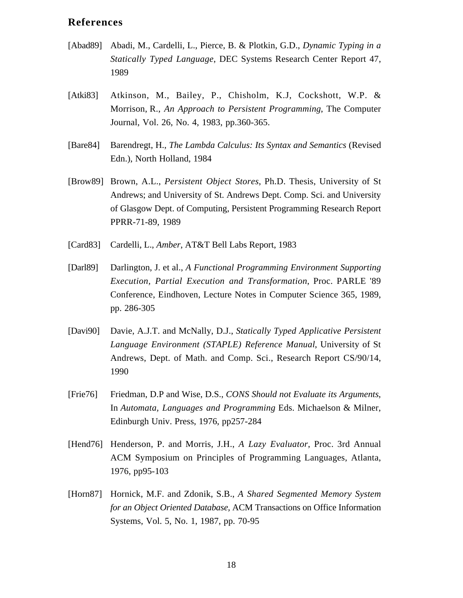# **References**

- [Abad89] Abadi, M., Cardelli, L., Pierce, B. & Plotkin, G.D., *Dynamic Typing in a Statically Typed Language*, DEC Systems Research Center Report 47, 1989
- [Atki83] Atkinson, M., Bailey, P., Chisholm, K.J, Cockshott, W.P. & Morrison, R., *An Approach to Persistent Programming*, The Computer Journal, Vol. 26, No. 4, 1983, pp.360-365.
- [Bare84] Barendregt, H., *The Lambda Calculus: Its Syntax and Semantics* (Revised Edn.), North Holland, 1984
- [Brow89] Brown, A.L., *Persistent Object Stores*, Ph.D. Thesis, University of St Andrews; and University of St. Andrews Dept. Comp. Sci. and University of Glasgow Dept. of Computing, Persistent Programming Research Report PPRR-71-89, 1989
- [Card83] Cardelli, L., *Amber*, AT&T Bell Labs Report, 1983
- [Darl89] Darlington, J. et al., *A Functional Programming Environment Supporting Execution, Partial Execution and Transformation*, Proc. PARLE '89 Conference, Eindhoven, Lecture Notes in Computer Science 365, 1989, pp. 286-305
- [Davi90] Davie, A.J.T. and McNally, D.J., *Statically Typed Applicative Persistent Language Environment (STAPLE) Reference Manual*, University of St Andrews, Dept. of Math. and Comp. Sci., Research Report CS/90/14, 1990
- [Frie76] Friedman, D.P and Wise, D.S., *CONS Should not Evaluate its Arguments*, In *Automata, Languages and Programming* Eds. Michaelson & Milner, Edinburgh Univ. Press, 1976, pp257-284
- [Hend76] Henderson, P. and Morris, J.H., *A Lazy Evaluator*, Proc. 3rd Annual ACM Symposium on Principles of Programming Languages, Atlanta, 1976, pp95-103
- [Horn87] Hornick, M.F. and Zdonik, S.B., *A Shared Segmented Memory System for an Object Oriented Database,* ACM Transactions on Office Information Systems, Vol. 5, No. 1, 1987, pp. 70-95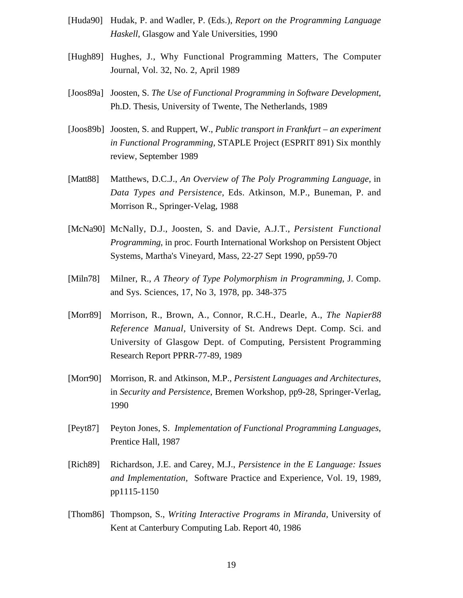- [Huda90] Hudak, P. and Wadler, P. (Eds.), *Report on the Programming Language Haskell*, Glasgow and Yale Universities, 1990
- [Hugh89] Hughes, J., Why Functional Programming Matters, The Computer Journal, Vol. 32, No. 2, April 1989
- [Joos89a] Joosten, S. *The Use of Functional Programming in Software Development*, Ph.D. Thesis, University of Twente, The Netherlands, 1989
- [Joos89b] Joosten, S. and Ruppert, W., *Public transport in Frankfurt an experiment in Functional Programming,* STAPLE Project (ESPRIT 891) Six monthly review, September 1989
- [Matt88] Matthews, D.C.J., *An Overview of The Poly Programming Language*, in *Data Types and Persistence*, Eds. Atkinson, M.P., Buneman, P. and Morrison R., Springer-Velag, 1988
- [McNa90] McNally, D.J., Joosten, S. and Davie, A.J.T., *Persistent Functional Programming*, in proc. Fourth International Workshop on Persistent Object Systems, Martha's Vineyard, Mass, 22-27 Sept 1990, pp59-70
- [Miln78] Milner, R., *A Theory of Type Polymorphism in Programming*, J. Comp. and Sys. Sciences, 17, No 3, 1978, pp. 348-375
- [Morr89] Morrison, R., Brown, A., Connor, R.C.H., Dearle, A., *The Napier88 Reference Manual,* University of St. Andrews Dept. Comp. Sci. and University of Glasgow Dept. of Computing, Persistent Programming Research Report PPRR-77-89, 1989
- [Morr90] Morrison, R. and Atkinson, M.P., *Persistent Languages and Architectures*, in *Security and Persistence*, Bremen Workshop, pp9-28, Springer-Verlag, 1990
- [Peyt87] Peyton Jones, S. *Implementation of Functional Programming Languages*, Prentice Hall, 1987
- [Rich89] Richardson, J.E. and Carey, M.J., *Persistence in the E Language: Issues and Implementation,* Software Practice and Experience, Vol. 19, 1989, pp1115-1150
- [Thom86] Thompson, S., *Writing Interactive Programs in Miranda,* University of Kent at Canterbury Computing Lab. Report 40, 1986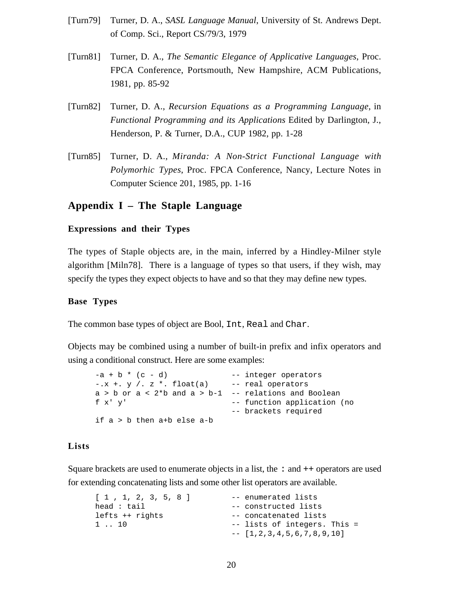- [Turn79] Turner, D. A., *SASL Language Manual*, University of St. Andrews Dept. of Comp. Sci., Report CS/79/3, 1979
- [Turn81] Turner, D. A., *The Semantic Elegance of Applicative Languages*, Proc. FPCA Conference, Portsmouth, New Hampshire, ACM Publications, 1981, pp. 85-92
- [Turn82] Turner, D. A., *Recursion Equations as a Programming Language*, in *Functional Programming and its Applications* Edited by Darlington, J., Henderson, P. & Turner, D.A., CUP 1982, pp. 1-28
- [Turn85] Turner, D. A., *Miranda: A Non-Strict Functional Language with Polymorhic Types*, Proc. FPCA Conference, Nancy, Lecture Notes in Computer Science 201, 1985, pp. 1-16

### **Appendix I – The Staple Language**

#### **Expressions and their Types**

The types of Staple objects are, in the main, inferred by a Hindley-Milner style algorithm [Miln78]. There is a language of types so that users, if they wish, may specify the types they expect objects to have and so that they may define new types.

#### **Base Types**

The common base types of object are Bool, Int, Real and Char.

Objects may be combined using a number of built-in prefix and infix operators and using a conditional construct. Here are some examples:

```
-a + b * (c - d) -- integer operators
-x + y /. z *. float(a) -- real operators
a > b or a < 2 * b and a > b-1 -- relations and Boolean
f x' y' -- function application (no
                         -- brackets required
if a > b then a+b else a-b
```
#### **Lists**

Square brackets are used to enumerate objects in a list, the  $:$  and  $++$  operators are used for extending concatenating lists and some other list operators are available.

| [1, 1, 2, 3, 5, 8] | -- enumerated lists          |  |  |  |
|--------------------|------------------------------|--|--|--|
| head : tail        | -- constructed lists         |  |  |  |
| lefts ++ rights    | -- concatenated lists        |  |  |  |
| 110                | -- lists of integers. This = |  |  |  |
|                    | $-$ [1,2,3,4,5,6,7,8,9,10]   |  |  |  |
|                    |                              |  |  |  |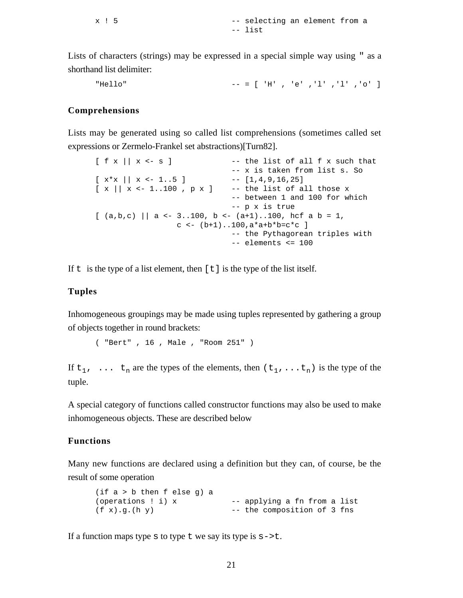| x!5 | -- selecting an element from a |  |  |
|-----|--------------------------------|--|--|
|     | -- list                        |  |  |

Lists of characters (strings) may be expressed in a special simple way using " as a shorthand list delimiter:

```
"Hello" -- = [ 'H' , 'e' , 'l' , 'o' ]
```
#### **Comprehensions**

Lists may be generated using so called list comprehensions (sometimes called set expressions or Zermelo-Frankel set abstractions)[Turn82].

```
[f x || x \leftarrow s] -- the list of all f x such that
                                     -- x is taken from list s. So
\begin{bmatrix} x^*x \end{bmatrix} \begin{bmatrix} x < -1..5 \end{bmatrix} -- \begin{bmatrix} 1,4,9,16,25 \end{bmatrix}\left[ x \right] \left[ x \leftarrow 1..100, p \times 1 -- the list of all those x
                                     -- between 1 and 100 for which
                                      -- p x is true
[(a,b,c) || a \leftarrow 3..100, b \leftarrow (a+1)..100, hcf a b = 1,c \leq (b+1)...100, a*a+b*b=c*c-- the Pythagorean triples with
                                      -- elements \leq 100
```
If  $t$  is the type of a list element, then [ $t$ ] is the type of the list itself.

#### **Tuples**

Inhomogeneous groupings may be made using tuples represented by gathering a group of objects together in round brackets:

( "Bert" , 16 , Male , "Room 251" )

If  $t_1$ , ...  $t_n$  are the types of the elements, then  $(t_1, \ldots t_n)$  is the type of the tuple.

A special category of functions called constructor functions may also be used to make inhomogeneous objects. These are described below

### **Functions**

Many new functions are declared using a definition but they can, of course, be the result of some operation

```
(if a > b then f else g) a
(operations ! i) x -- applying a fn from a list
(f x).g.(h y) -- the composition of 3 fns
```
If a function maps type s to type  $t$  we say its type is  $s \rightarrow t$ .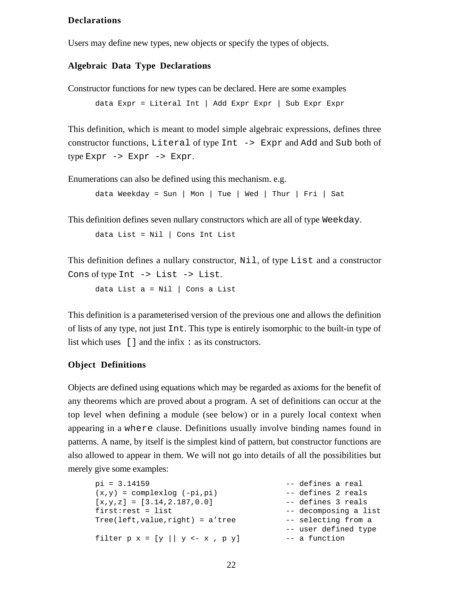#### **Declarations**

Users may define new types, new objects or specify the types of objects.

#### **Algebraic Data Type Declarations**

Constructor functions for new types can be declared. Here are some examples

data Expr = Literal Int | Add Expr Expr | Sub Expr Expr

This definition, which is meant to model simple algebraic expressions, defines three constructor functions, Literal of type Int -> Expr and Add and Sub both of type  $\text{Expr} \rightarrow \text{Expr} \rightarrow \text{Expr}.$ 

Enumerations can also be defined using this mechanism. e.g.

data Weekday = Sun | Mon | Tue | Wed | Thur | Fri | Sat

This definition defines seven nullary constructors which are all of type Weekday.

data List = Nil | Cons Int List

This definition defines a nullary constructor, Nil, of type List and a constructor Cons of type Int -> List -> List.

data List a = Nil | Cons a List

This definition is a parameterised version of the previous one and allows the definition of lists of any type, not just Int. This type is entirely isomorphic to the built-in type of list which uses  $\lceil \cdot \rceil$  and the infix : as its constructors.

#### **Object Definitions**

Objects are defined using equations which may be regarded as axioms for the benefit of any theorems which are proved about a program. A set of definitions can occur at the top level when defining a module (see below) or in a purely local context when appearing in a where clause. Definitions usually involve binding names found in patterns. A name, by itself is the simplest kind of pattern, but constructor functions are also allowed to appear in them. We will not go into details of all the possibilities but merely give some examples:

```
pi = 3.14159 -- defines a real
(x,y) = complexlog (-pi,pi) -- defines 2 reals
[x,y,z] = [3.14, 2.187, 0.0] -- defines 3 reals
first:rest = list - -- decomposing a list
Tree(left, value, right) = a'tree -- selecting from a
                                  -- user defined type
filter p \times = [y \mid y \leftarrow x, p \text{ y}] -- a function
```